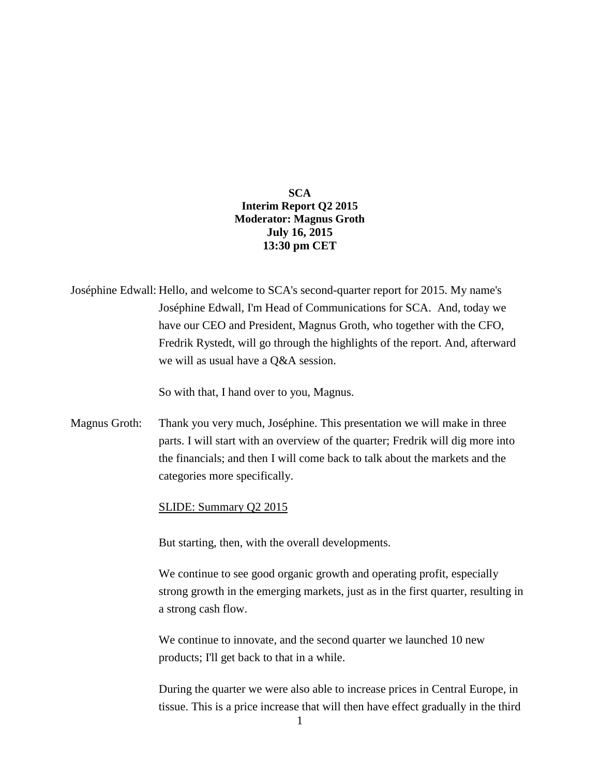**SCA Interim Report Q2 2015 Moderator: Magnus Groth July 16, 2015 13:30 pm CET**

Joséphine Edwall: Hello, and welcome to SCA's second-quarter report for 2015. My name's Joséphine Edwall, I'm Head of Communications for SCA. And, today we have our CEO and President, Magnus Groth, who together with the CFO, Fredrik Rystedt, will go through the highlights of the report. And, afterward we will as usual have a Q&A session.

So with that, I hand over to you, Magnus.

Magnus Groth: Thank you very much, Joséphine. This presentation we will make in three parts. I will start with an overview of the quarter; Fredrik will dig more into the financials; and then I will come back to talk about the markets and the categories more specifically.

### SLIDE: Summary Q2 2015

But starting, then, with the overall developments.

We continue to see good organic growth and operating profit, especially strong growth in the emerging markets, just as in the first quarter, resulting in a strong cash flow.

We continue to innovate, and the second quarter we launched 10 new products; I'll get back to that in a while.

During the quarter we were also able to increase prices in Central Europe, in tissue. This is a price increase that will then have effect gradually in the third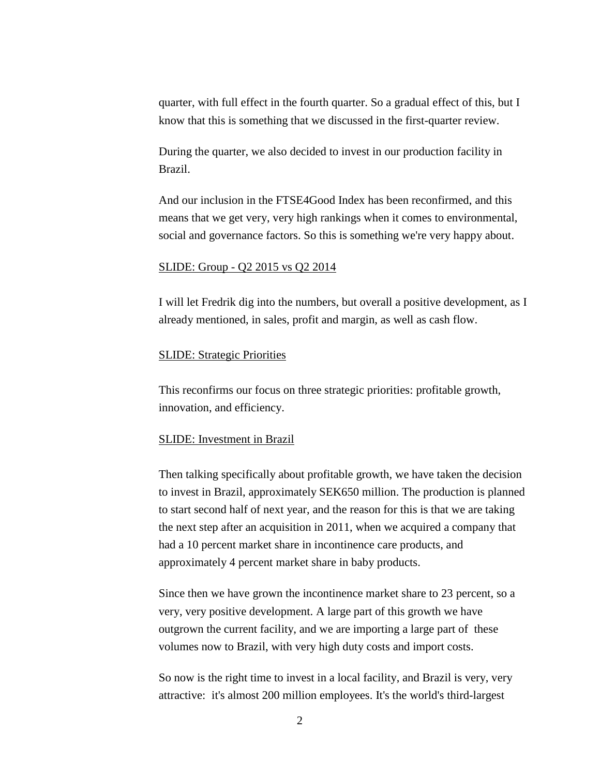quarter, with full effect in the fourth quarter. So a gradual effect of this, but I know that this is something that we discussed in the first-quarter review.

During the quarter, we also decided to invest in our production facility in Brazil.

And our inclusion in the FTSE4Good Index has been reconfirmed, and this means that we get very, very high rankings when it comes to environmental, social and governance factors. So this is something we're very happy about.

### SLIDE: Group - Q2 2015 vs Q2 2014

I will let Fredrik dig into the numbers, but overall a positive development, as I already mentioned, in sales, profit and margin, as well as cash flow.

## SLIDE: Strategic Priorities

This reconfirms our focus on three strategic priorities: profitable growth, innovation, and efficiency.

#### SLIDE: Investment in Brazil

Then talking specifically about profitable growth, we have taken the decision to invest in Brazil, approximately SEK650 million. The production is planned to start second half of next year, and the reason for this is that we are taking the next step after an acquisition in 2011, when we acquired a company that had a 10 percent market share in incontinence care products, and approximately 4 percent market share in baby products.

Since then we have grown the incontinence market share to 23 percent, so a very, very positive development. A large part of this growth we have outgrown the current facility, and we are importing a large part of these volumes now to Brazil, with very high duty costs and import costs.

So now is the right time to invest in a local facility, and Brazil is very, very attractive: it's almost 200 million employees. It's the world's third-largest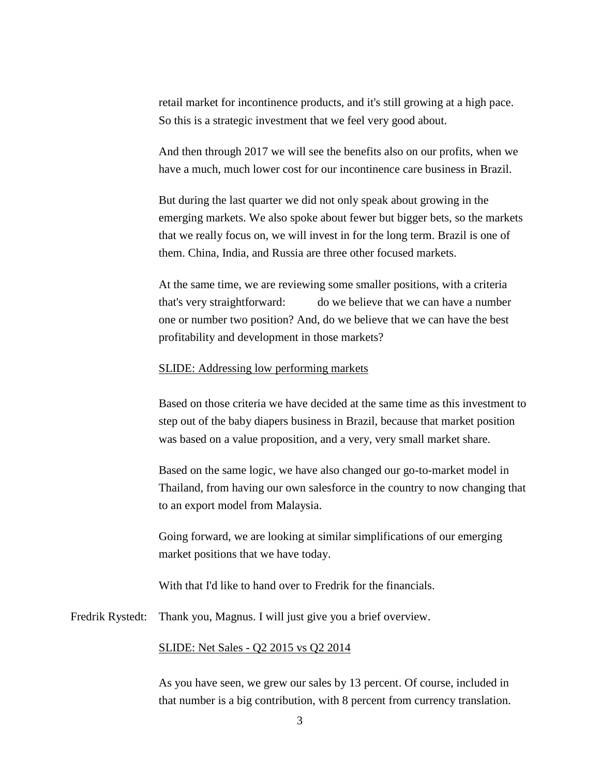retail market for incontinence products, and it's still growing at a high pace. So this is a strategic investment that we feel very good about.

And then through 2017 we will see the benefits also on our profits, when we have a much, much lower cost for our incontinence care business in Brazil.

But during the last quarter we did not only speak about growing in the emerging markets. We also spoke about fewer but bigger bets, so the markets that we really focus on, we will invest in for the long term. Brazil is one of them. China, India, and Russia are three other focused markets.

At the same time, we are reviewing some smaller positions, with a criteria that's very straightforward: do we believe that we can have a number one or number two position? And, do we believe that we can have the best profitability and development in those markets?

## SLIDE: Addressing low performing markets

Based on those criteria we have decided at the same time as this investment to step out of the baby diapers business in Brazil, because that market position was based on a value proposition, and a very, very small market share.

Based on the same logic, we have also changed our go-to-market model in Thailand, from having our own salesforce in the country to now changing that to an export model from Malaysia.

Going forward, we are looking at similar simplifications of our emerging market positions that we have today.

With that I'd like to hand over to Fredrik for the financials.

Fredrik Rystedt: Thank you, Magnus. I will just give you a brief overview.

## SLIDE: Net Sales - Q2 2015 vs Q2 2014

As you have seen, we grew our sales by 13 percent. Of course, included in that number is a big contribution, with 8 percent from currency translation.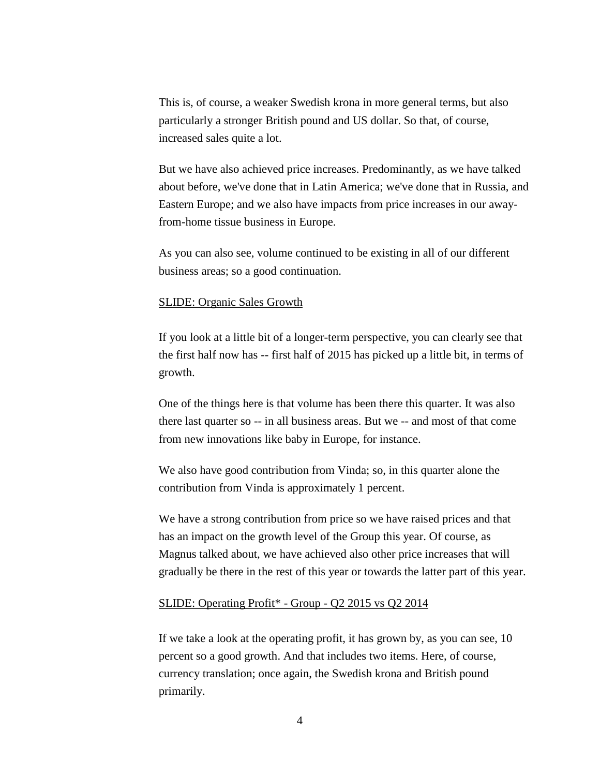This is, of course, a weaker Swedish krona in more general terms, but also particularly a stronger British pound and US dollar. So that, of course, increased sales quite a lot.

But we have also achieved price increases. Predominantly, as we have talked about before, we've done that in Latin America; we've done that in Russia, and Eastern Europe; and we also have impacts from price increases in our awayfrom-home tissue business in Europe.

As you can also see, volume continued to be existing in all of our different business areas; so a good continuation.

### SLIDE: Organic Sales Growth

If you look at a little bit of a longer-term perspective, you can clearly see that the first half now has -- first half of 2015 has picked up a little bit, in terms of growth.

One of the things here is that volume has been there this quarter. It was also there last quarter so -- in all business areas. But we -- and most of that come from new innovations like baby in Europe, for instance.

We also have good contribution from Vinda; so, in this quarter alone the contribution from Vinda is approximately 1 percent.

We have a strong contribution from price so we have raised prices and that has an impact on the growth level of the Group this year. Of course, as Magnus talked about, we have achieved also other price increases that will gradually be there in the rest of this year or towards the latter part of this year.

## SLIDE: Operating Profit\* - Group - Q2 2015 vs Q2 2014

If we take a look at the operating profit, it has grown by, as you can see, 10 percent so a good growth. And that includes two items. Here, of course, currency translation; once again, the Swedish krona and British pound primarily.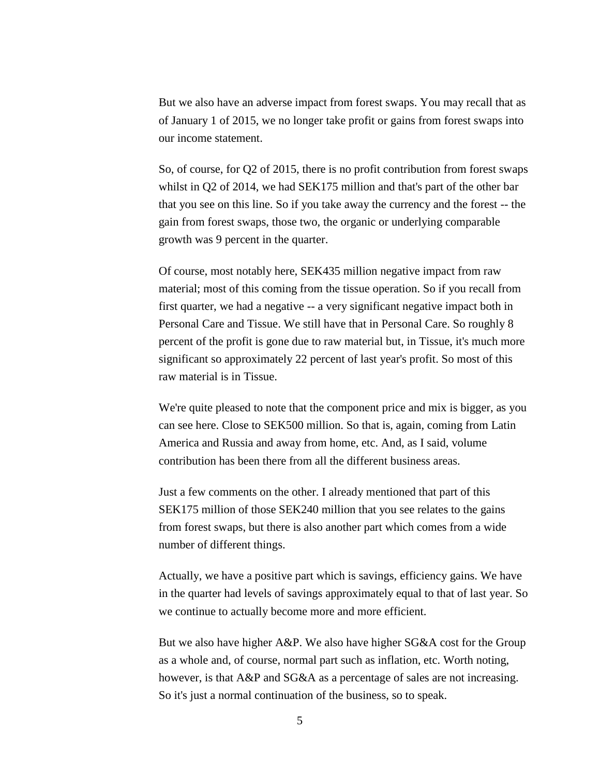But we also have an adverse impact from forest swaps. You may recall that as of January 1 of 2015, we no longer take profit or gains from forest swaps into our income statement.

So, of course, for Q2 of 2015, there is no profit contribution from forest swaps whilst in Q2 of 2014, we had SEK175 million and that's part of the other bar that you see on this line. So if you take away the currency and the forest -- the gain from forest swaps, those two, the organic or underlying comparable growth was 9 percent in the quarter.

Of course, most notably here, SEK435 million negative impact from raw material; most of this coming from the tissue operation. So if you recall from first quarter, we had a negative -- a very significant negative impact both in Personal Care and Tissue. We still have that in Personal Care. So roughly 8 percent of the profit is gone due to raw material but, in Tissue, it's much more significant so approximately 22 percent of last year's profit. So most of this raw material is in Tissue.

We're quite pleased to note that the component price and mix is bigger, as you can see here. Close to SEK500 million. So that is, again, coming from Latin America and Russia and away from home, etc. And, as I said, volume contribution has been there from all the different business areas.

Just a few comments on the other. I already mentioned that part of this SEK175 million of those SEK240 million that you see relates to the gains from forest swaps, but there is also another part which comes from a wide number of different things.

Actually, we have a positive part which is savings, efficiency gains. We have in the quarter had levels of savings approximately equal to that of last year. So we continue to actually become more and more efficient.

But we also have higher A&P. We also have higher SG&A cost for the Group as a whole and, of course, normal part such as inflation, etc. Worth noting, however, is that A&P and SG&A as a percentage of sales are not increasing. So it's just a normal continuation of the business, so to speak.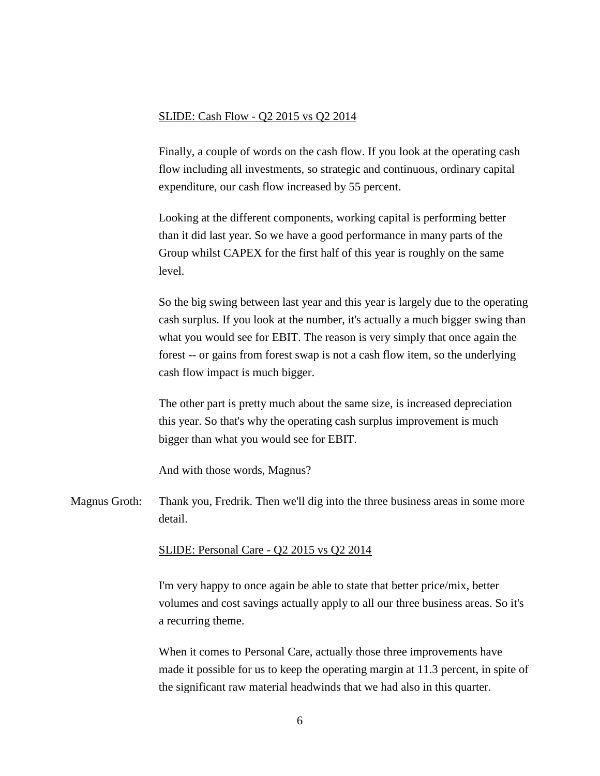### SLIDE: Cash Flow - Q2 2015 vs Q2 2014

Finally, a couple of words on the cash flow. If you look at the operating cash flow including all investments, so strategic and continuous, ordinary capital expenditure, our cash flow increased by 55 percent.

Looking at the different components, working capital is performing better than it did last year. So we have a good performance in many parts of the Group whilst CAPEX for the first half of this year is roughly on the same level.

So the big swing between last year and this year is largely due to the operating cash surplus. If you look at the number, it's actually a much bigger swing than what you would see for EBIT. The reason is very simply that once again the forest -- or gains from forest swap is not a cash flow item, so the underlying cash flow impact is much bigger.

The other part is pretty much about the same size, is increased depreciation this year. So that's why the operating cash surplus improvement is much bigger than what you would see for EBIT.

And with those words, Magnus?

Magnus Groth: Thank you, Fredrik. Then we'll dig into the three business areas in some more detail.

## SLIDE: Personal Care - Q2 2015 vs Q2 2014

I'm very happy to once again be able to state that better price/mix, better volumes and cost savings actually apply to all our three business areas. So it's a recurring theme.

When it comes to Personal Care, actually those three improvements have made it possible for us to keep the operating margin at 11.3 percent, in spite of the significant raw material headwinds that we had also in this quarter.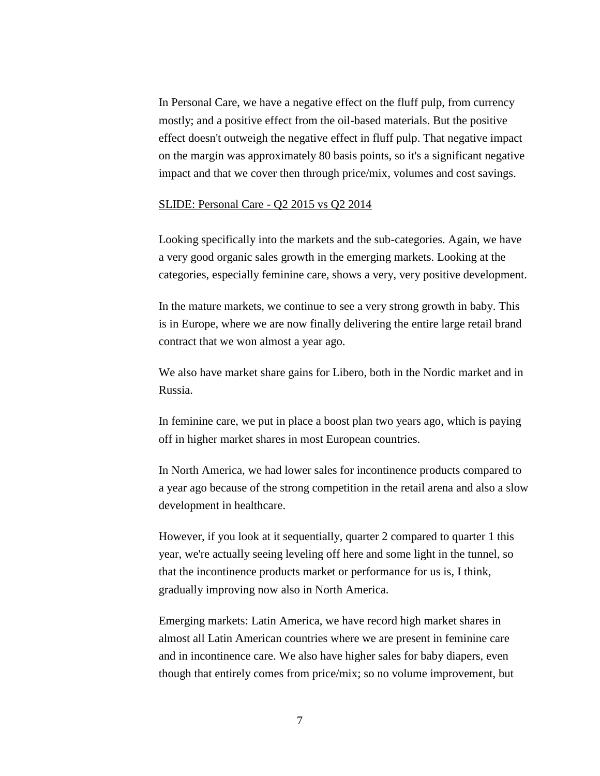In Personal Care, we have a negative effect on the fluff pulp, from currency mostly; and a positive effect from the oil-based materials. But the positive effect doesn't outweigh the negative effect in fluff pulp. That negative impact on the margin was approximately 80 basis points, so it's a significant negative impact and that we cover then through price/mix, volumes and cost savings.

### SLIDE: Personal Care - Q2 2015 vs Q2 2014

Looking specifically into the markets and the sub-categories. Again, we have a very good organic sales growth in the emerging markets. Looking at the categories, especially feminine care, shows a very, very positive development.

In the mature markets, we continue to see a very strong growth in baby. This is in Europe, where we are now finally delivering the entire large retail brand contract that we won almost a year ago.

We also have market share gains for Libero, both in the Nordic market and in Russia.

In feminine care, we put in place a boost plan two years ago, which is paying off in higher market shares in most European countries.

In North America, we had lower sales for incontinence products compared to a year ago because of the strong competition in the retail arena and also a slow development in healthcare.

However, if you look at it sequentially, quarter 2 compared to quarter 1 this year, we're actually seeing leveling off here and some light in the tunnel, so that the incontinence products market or performance for us is, I think, gradually improving now also in North America.

Emerging markets: Latin America, we have record high market shares in almost all Latin American countries where we are present in feminine care and in incontinence care. We also have higher sales for baby diapers, even though that entirely comes from price/mix; so no volume improvement, but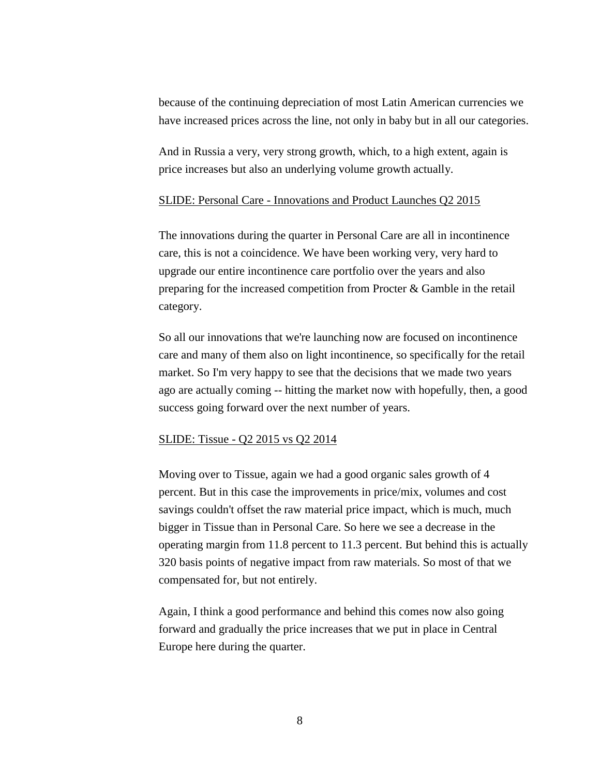because of the continuing depreciation of most Latin American currencies we have increased prices across the line, not only in baby but in all our categories.

And in Russia a very, very strong growth, which, to a high extent, again is price increases but also an underlying volume growth actually.

### SLIDE: Personal Care - Innovations and Product Launches Q2 2015

The innovations during the quarter in Personal Care are all in incontinence care, this is not a coincidence. We have been working very, very hard to upgrade our entire incontinence care portfolio over the years and also preparing for the increased competition from Procter & Gamble in the retail category.

So all our innovations that we're launching now are focused on incontinence care and many of them also on light incontinence, so specifically for the retail market. So I'm very happy to see that the decisions that we made two years ago are actually coming -- hitting the market now with hopefully, then, a good success going forward over the next number of years.

#### SLIDE: Tissue - Q2 2015 vs Q2 2014

Moving over to Tissue, again we had a good organic sales growth of 4 percent. But in this case the improvements in price/mix, volumes and cost savings couldn't offset the raw material price impact, which is much, much bigger in Tissue than in Personal Care. So here we see a decrease in the operating margin from 11.8 percent to 11.3 percent. But behind this is actually 320 basis points of negative impact from raw materials. So most of that we compensated for, but not entirely.

Again, I think a good performance and behind this comes now also going forward and gradually the price increases that we put in place in Central Europe here during the quarter.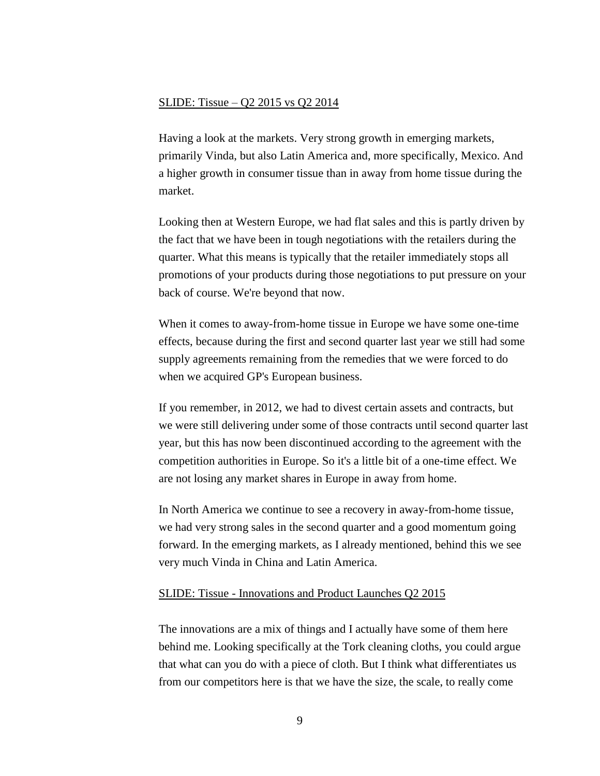## SLIDE: Tissue – Q2 2015 vs Q2 2014

Having a look at the markets. Very strong growth in emerging markets, primarily Vinda, but also Latin America and, more specifically, Mexico. And a higher growth in consumer tissue than in away from home tissue during the market.

Looking then at Western Europe, we had flat sales and this is partly driven by the fact that we have been in tough negotiations with the retailers during the quarter. What this means is typically that the retailer immediately stops all promotions of your products during those negotiations to put pressure on your back of course. We're beyond that now.

When it comes to away-from-home tissue in Europe we have some one-time effects, because during the first and second quarter last year we still had some supply agreements remaining from the remedies that we were forced to do when we acquired GP's European business.

If you remember, in 2012, we had to divest certain assets and contracts, but we were still delivering under some of those contracts until second quarter last year, but this has now been discontinued according to the agreement with the competition authorities in Europe. So it's a little bit of a one-time effect. We are not losing any market shares in Europe in away from home.

In North America we continue to see a recovery in away-from-home tissue, we had very strong sales in the second quarter and a good momentum going forward. In the emerging markets, as I already mentioned, behind this we see very much Vinda in China and Latin America.

## SLIDE: Tissue - Innovations and Product Launches Q2 2015

The innovations are a mix of things and I actually have some of them here behind me. Looking specifically at the Tork cleaning cloths, you could argue that what can you do with a piece of cloth. But I think what differentiates us from our competitors here is that we have the size, the scale, to really come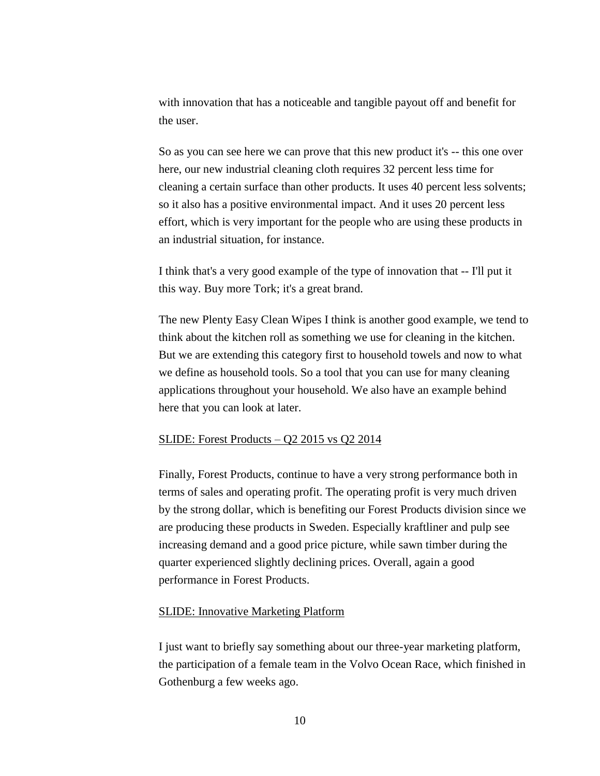with innovation that has a noticeable and tangible payout off and benefit for the user.

So as you can see here we can prove that this new product it's -- this one over here, our new industrial cleaning cloth requires 32 percent less time for cleaning a certain surface than other products. It uses 40 percent less solvents; so it also has a positive environmental impact. And it uses 20 percent less effort, which is very important for the people who are using these products in an industrial situation, for instance.

I think that's a very good example of the type of innovation that -- I'll put it this way. Buy more Tork; it's a great brand.

The new Plenty Easy Clean Wipes I think is another good example, we tend to think about the kitchen roll as something we use for cleaning in the kitchen. But we are extending this category first to household towels and now to what we define as household tools. So a tool that you can use for many cleaning applications throughout your household. We also have an example behind here that you can look at later.

#### SLIDE: Forest Products  $-$  Q2 2015 vs Q2 2014

Finally, Forest Products, continue to have a very strong performance both in terms of sales and operating profit. The operating profit is very much driven by the strong dollar, which is benefiting our Forest Products division since we are producing these products in Sweden. Especially kraftliner and pulp see increasing demand and a good price picture, while sawn timber during the quarter experienced slightly declining prices. Overall, again a good performance in Forest Products.

## SLIDE: Innovative Marketing Platform

I just want to briefly say something about our three-year marketing platform, the participation of a female team in the Volvo Ocean Race, which finished in Gothenburg a few weeks ago.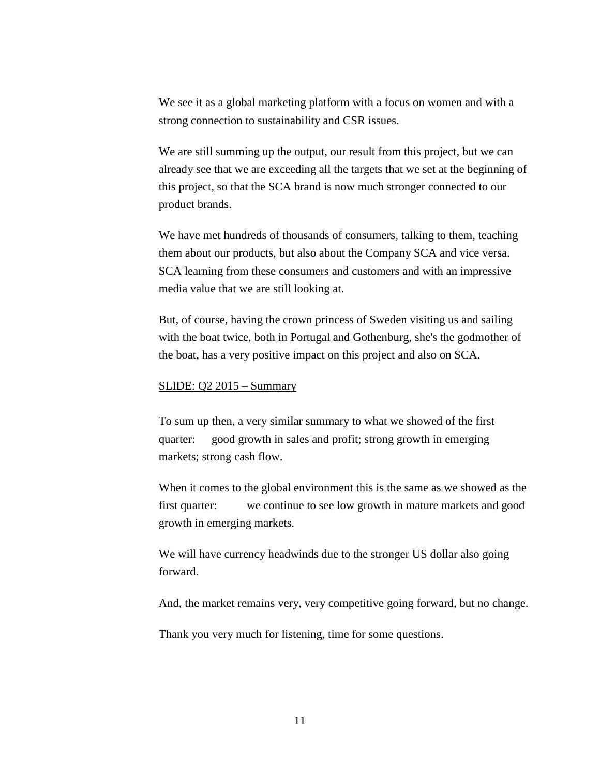We see it as a global marketing platform with a focus on women and with a strong connection to sustainability and CSR issues.

We are still summing up the output, our result from this project, but we can already see that we are exceeding all the targets that we set at the beginning of this project, so that the SCA brand is now much stronger connected to our product brands.

We have met hundreds of thousands of consumers, talking to them, teaching them about our products, but also about the Company SCA and vice versa. SCA learning from these consumers and customers and with an impressive media value that we are still looking at.

But, of course, having the crown princess of Sweden visiting us and sailing with the boat twice, both in Portugal and Gothenburg, she's the godmother of the boat, has a very positive impact on this project and also on SCA.

#### SLIDE: Q2 2015 – Summary

To sum up then, a very similar summary to what we showed of the first quarter: good growth in sales and profit; strong growth in emerging markets; strong cash flow.

When it comes to the global environment this is the same as we showed as the first quarter: we continue to see low growth in mature markets and good growth in emerging markets.

We will have currency headwinds due to the stronger US dollar also going forward.

And, the market remains very, very competitive going forward, but no change.

Thank you very much for listening, time for some questions.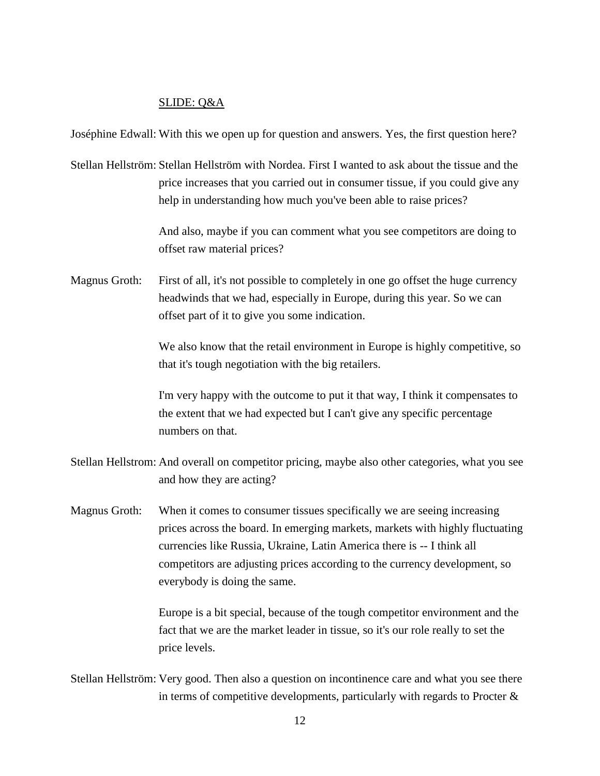# SLIDE: Q&A

Joséphine Edwall: With this we open up for question and answers. Yes, the first question here?

Stellan Hellström: Stellan Hellström with Nordea. First I wanted to ask about the tissue and the price increases that you carried out in consumer tissue, if you could give any help in understanding how much you've been able to raise prices?

> And also, maybe if you can comment what you see competitors are doing to offset raw material prices?

Magnus Groth: First of all, it's not possible to completely in one go offset the huge currency headwinds that we had, especially in Europe, during this year. So we can offset part of it to give you some indication.

> We also know that the retail environment in Europe is highly competitive, so that it's tough negotiation with the big retailers.

> I'm very happy with the outcome to put it that way, I think it compensates to the extent that we had expected but I can't give any specific percentage numbers on that.

Stellan Hellstrom: And overall on competitor pricing, maybe also other categories, what you see and how they are acting?

Magnus Groth: When it comes to consumer tissues specifically we are seeing increasing prices across the board. In emerging markets, markets with highly fluctuating currencies like Russia, Ukraine, Latin America there is -- I think all competitors are adjusting prices according to the currency development, so everybody is doing the same.

> Europe is a bit special, because of the tough competitor environment and the fact that we are the market leader in tissue, so it's our role really to set the price levels.

Stellan Hellström: Very good. Then also a question on incontinence care and what you see there in terms of competitive developments, particularly with regards to Procter  $\&$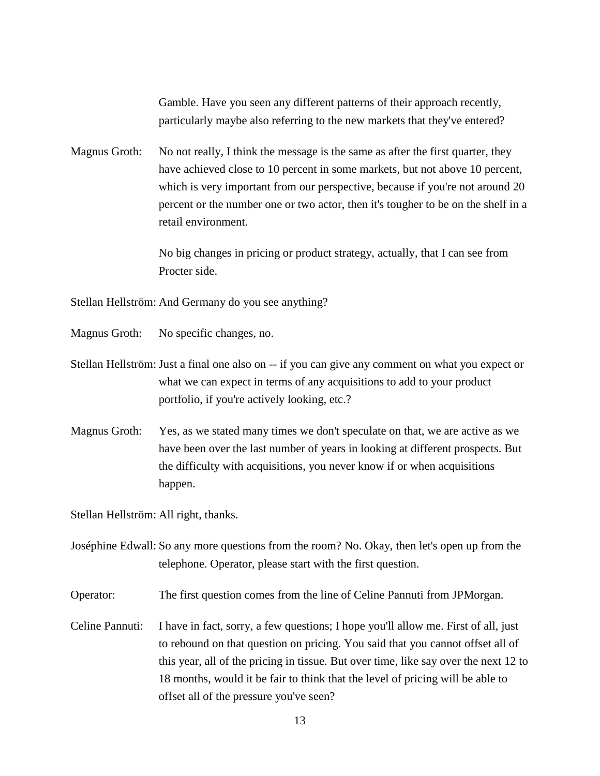Gamble. Have you seen any different patterns of their approach recently, particularly maybe also referring to the new markets that they've entered?

Magnus Groth: No not really, I think the message is the same as after the first quarter, they have achieved close to 10 percent in some markets, but not above 10 percent, which is very important from our perspective, because if you're not around 20 percent or the number one or two actor, then it's tougher to be on the shelf in a retail environment.

> No big changes in pricing or product strategy, actually, that I can see from Procter side.

Stellan Hellström: And Germany do you see anything?

- Magnus Groth: No specific changes, no.
- Stellan Hellström: Just a final one also on -- if you can give any comment on what you expect or what we can expect in terms of any acquisitions to add to your product portfolio, if you're actively looking, etc.?
- Magnus Groth: Yes, as we stated many times we don't speculate on that, we are active as we have been over the last number of years in looking at different prospects. But the difficulty with acquisitions, you never know if or when acquisitions happen.

Stellan Hellström: All right, thanks.

Joséphine Edwall: So any more questions from the room? No. Okay, then let's open up from the telephone. Operator, please start with the first question.

Operator: The first question comes from the line of Celine Pannuti from JPMorgan.

Celine Pannuti: I have in fact, sorry, a few questions; I hope you'll allow me. First of all, just to rebound on that question on pricing. You said that you cannot offset all of this year, all of the pricing in tissue. But over time, like say over the next 12 to 18 months, would it be fair to think that the level of pricing will be able to offset all of the pressure you've seen?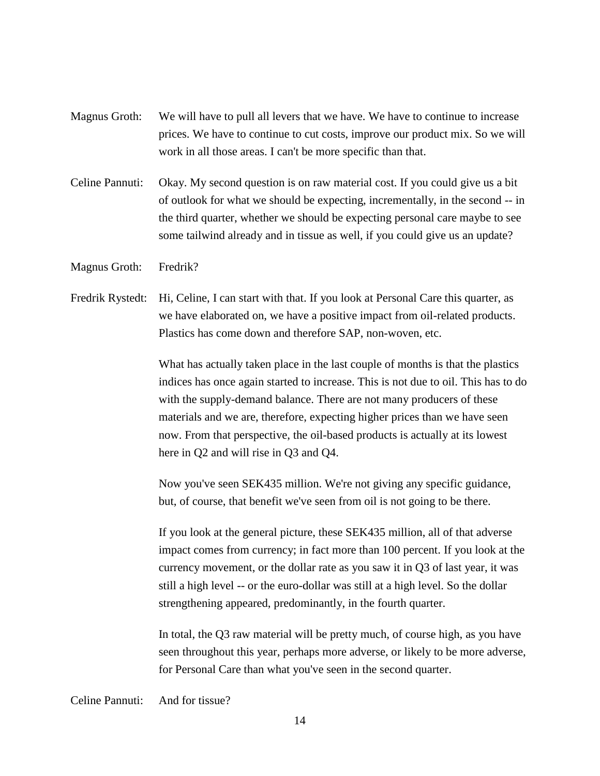- Magnus Groth: We will have to pull all levers that we have. We have to continue to increase prices. We have to continue to cut costs, improve our product mix. So we will work in all those areas. I can't be more specific than that.
- Celine Pannuti: Okay. My second question is on raw material cost. If you could give us a bit of outlook for what we should be expecting, incrementally, in the second -- in the third quarter, whether we should be expecting personal care maybe to see some tailwind already and in tissue as well, if you could give us an update?
- Magnus Groth: Fredrik?
- Fredrik Rystedt: Hi, Celine, I can start with that. If you look at Personal Care this quarter, as we have elaborated on, we have a positive impact from oil-related products. Plastics has come down and therefore SAP, non-woven, etc.

What has actually taken place in the last couple of months is that the plastics indices has once again started to increase. This is not due to oil. This has to do with the supply-demand balance. There are not many producers of these materials and we are, therefore, expecting higher prices than we have seen now. From that perspective, the oil-based products is actually at its lowest here in Q2 and will rise in Q3 and Q4.

Now you've seen SEK435 million. We're not giving any specific guidance, but, of course, that benefit we've seen from oil is not going to be there.

If you look at the general picture, these SEK435 million, all of that adverse impact comes from currency; in fact more than 100 percent. If you look at the currency movement, or the dollar rate as you saw it in Q3 of last year, it was still a high level -- or the euro-dollar was still at a high level. So the dollar strengthening appeared, predominantly, in the fourth quarter.

In total, the Q3 raw material will be pretty much, of course high, as you have seen throughout this year, perhaps more adverse, or likely to be more adverse, for Personal Care than what you've seen in the second quarter.

Celine Pannuti: And for tissue?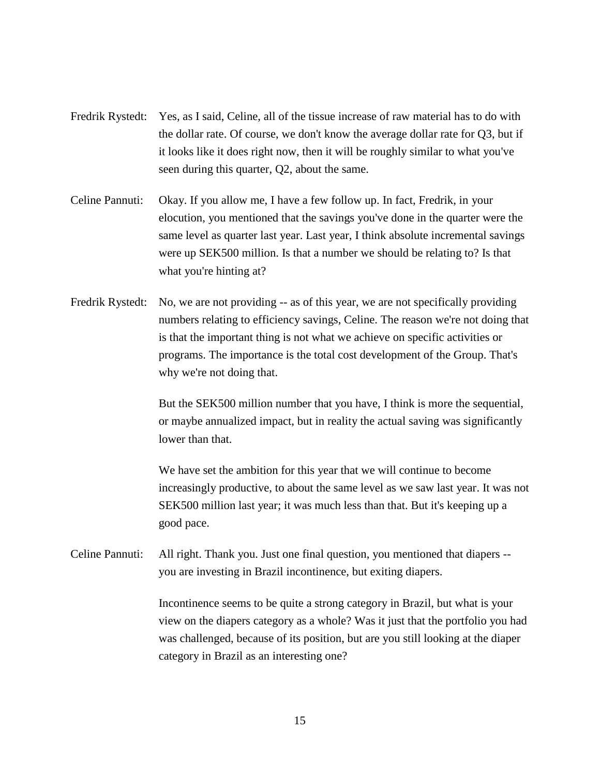- Fredrik Rystedt: Yes, as I said, Celine, all of the tissue increase of raw material has to do with the dollar rate. Of course, we don't know the average dollar rate for Q3, but if it looks like it does right now, then it will be roughly similar to what you've seen during this quarter, Q2, about the same.
- Celine Pannuti: Okay. If you allow me, I have a few follow up. In fact, Fredrik, in your elocution, you mentioned that the savings you've done in the quarter were the same level as quarter last year. Last year, I think absolute incremental savings were up SEK500 million. Is that a number we should be relating to? Is that what you're hinting at?
- Fredrik Rystedt: No, we are not providing -- as of this year, we are not specifically providing numbers relating to efficiency savings, Celine. The reason we're not doing that is that the important thing is not what we achieve on specific activities or programs. The importance is the total cost development of the Group. That's why we're not doing that.

But the SEK500 million number that you have, I think is more the sequential, or maybe annualized impact, but in reality the actual saving was significantly lower than that.

We have set the ambition for this year that we will continue to become increasingly productive, to about the same level as we saw last year. It was not SEK500 million last year; it was much less than that. But it's keeping up a good pace.

Celine Pannuti: All right. Thank you. Just one final question, you mentioned that diapers - you are investing in Brazil incontinence, but exiting diapers.

> Incontinence seems to be quite a strong category in Brazil, but what is your view on the diapers category as a whole? Was it just that the portfolio you had was challenged, because of its position, but are you still looking at the diaper category in Brazil as an interesting one?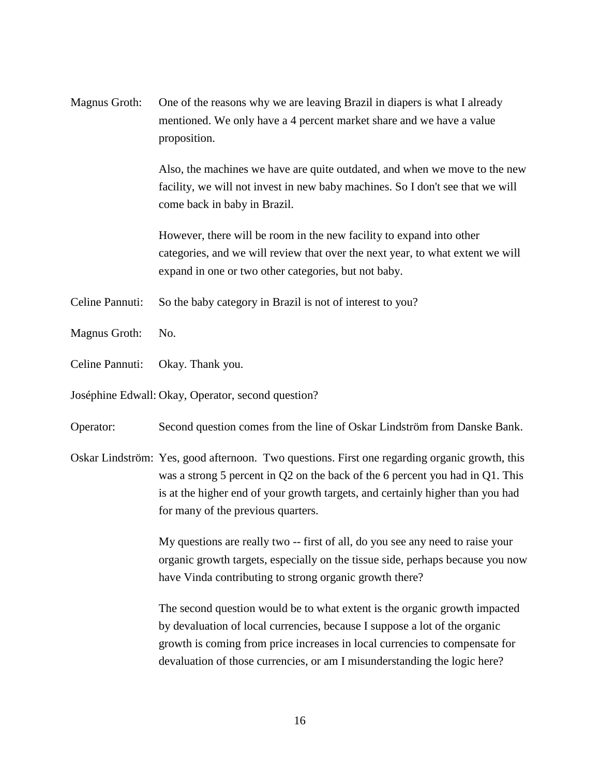Magnus Groth: One of the reasons why we are leaving Brazil in diapers is what I already mentioned. We only have a 4 percent market share and we have a value proposition.

> Also, the machines we have are quite outdated, and when we move to the new facility, we will not invest in new baby machines. So I don't see that we will come back in baby in Brazil.

However, there will be room in the new facility to expand into other categories, and we will review that over the next year, to what extent we will expand in one or two other categories, but not baby.

- Celine Pannuti: So the baby category in Brazil is not of interest to you?
- Magnus Groth: No.
- Celine Pannuti: Okay. Thank you.
- Joséphine Edwall: Okay, Operator, second question?
- Operator: Second question comes from the line of Oskar Lindström from Danske Bank.
- Oskar Lindström: Yes, good afternoon. Two questions. First one regarding organic growth, this was a strong 5 percent in Q2 on the back of the 6 percent you had in Q1. This is at the higher end of your growth targets, and certainly higher than you had for many of the previous quarters.

My questions are really two -- first of all, do you see any need to raise your organic growth targets, especially on the tissue side, perhaps because you now have Vinda contributing to strong organic growth there?

The second question would be to what extent is the organic growth impacted by devaluation of local currencies, because I suppose a lot of the organic growth is coming from price increases in local currencies to compensate for devaluation of those currencies, or am I misunderstanding the logic here?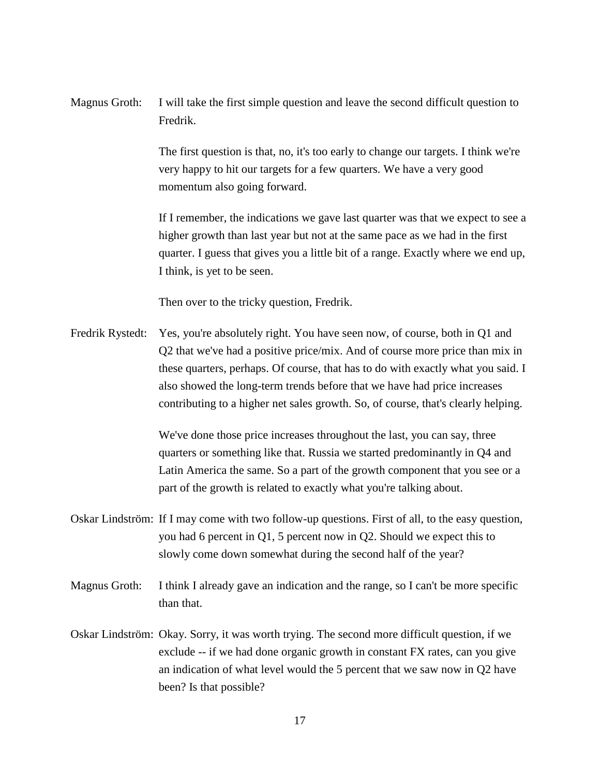Magnus Groth: I will take the first simple question and leave the second difficult question to Fredrik.

> The first question is that, no, it's too early to change our targets. I think we're very happy to hit our targets for a few quarters. We have a very good momentum also going forward.

If I remember, the indications we gave last quarter was that we expect to see a higher growth than last year but not at the same pace as we had in the first quarter. I guess that gives you a little bit of a range. Exactly where we end up, I think, is yet to be seen.

Then over to the tricky question, Fredrik.

Fredrik Rystedt: Yes, you're absolutely right. You have seen now, of course, both in Q1 and Q2 that we've had a positive price/mix. And of course more price than mix in these quarters, perhaps. Of course, that has to do with exactly what you said. I also showed the long-term trends before that we have had price increases contributing to a higher net sales growth. So, of course, that's clearly helping.

> We've done those price increases throughout the last, you can say, three quarters or something like that. Russia we started predominantly in Q4 and Latin America the same. So a part of the growth component that you see or a part of the growth is related to exactly what you're talking about.

- Oskar Lindström: If I may come with two follow-up questions. First of all, to the easy question, you had 6 percent in Q1, 5 percent now in Q2. Should we expect this to slowly come down somewhat during the second half of the year?
- Magnus Groth: I think I already gave an indication and the range, so I can't be more specific than that.
- Oskar Lindström: Okay. Sorry, it was worth trying. The second more difficult question, if we exclude -- if we had done organic growth in constant FX rates, can you give an indication of what level would the 5 percent that we saw now in Q2 have been? Is that possible?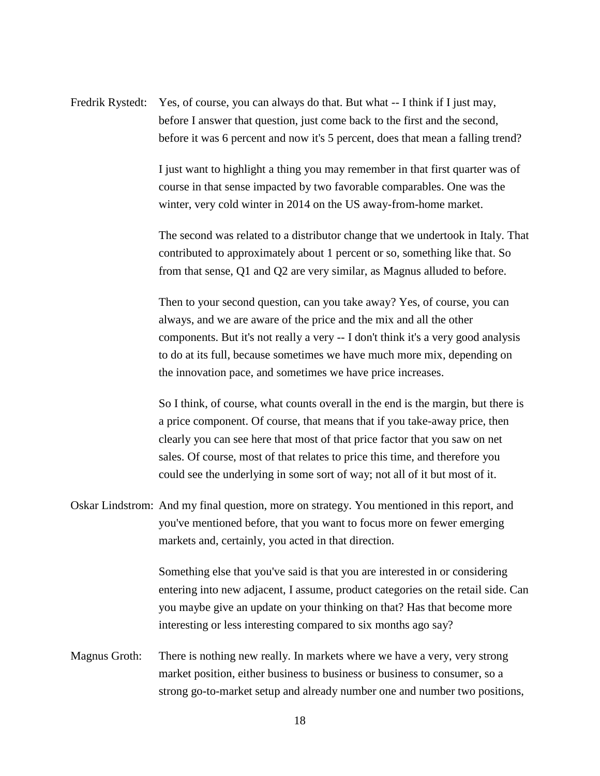Fredrik Rystedt: Yes, of course, you can always do that. But what -- I think if I just may, before I answer that question, just come back to the first and the second, before it was 6 percent and now it's 5 percent, does that mean a falling trend?

> I just want to highlight a thing you may remember in that first quarter was of course in that sense impacted by two favorable comparables. One was the winter, very cold winter in 2014 on the US away-from-home market.

The second was related to a distributor change that we undertook in Italy. That contributed to approximately about 1 percent or so, something like that. So from that sense, Q1 and Q2 are very similar, as Magnus alluded to before.

Then to your second question, can you take away? Yes, of course, you can always, and we are aware of the price and the mix and all the other components. But it's not really a very -- I don't think it's a very good analysis to do at its full, because sometimes we have much more mix, depending on the innovation pace, and sometimes we have price increases.

So I think, of course, what counts overall in the end is the margin, but there is a price component. Of course, that means that if you take-away price, then clearly you can see here that most of that price factor that you saw on net sales. Of course, most of that relates to price this time, and therefore you could see the underlying in some sort of way; not all of it but most of it.

Oskar Lindstrom: And my final question, more on strategy. You mentioned in this report, and you've mentioned before, that you want to focus more on fewer emerging markets and, certainly, you acted in that direction.

> Something else that you've said is that you are interested in or considering entering into new adjacent, I assume, product categories on the retail side. Can you maybe give an update on your thinking on that? Has that become more interesting or less interesting compared to six months ago say?

Magnus Groth: There is nothing new really. In markets where we have a very, very strong market position, either business to business or business to consumer, so a strong go-to-market setup and already number one and number two positions,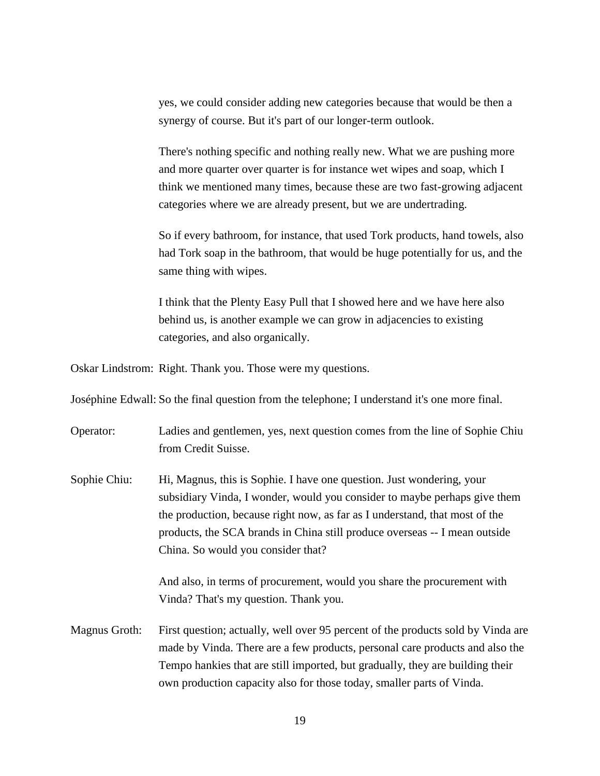yes, we could consider adding new categories because that would be then a synergy of course. But it's part of our longer-term outlook.

There's nothing specific and nothing really new. What we are pushing more and more quarter over quarter is for instance wet wipes and soap, which I think we mentioned many times, because these are two fast-growing adjacent categories where we are already present, but we are undertrading.

So if every bathroom, for instance, that used Tork products, hand towels, also had Tork soap in the bathroom, that would be huge potentially for us, and the same thing with wipes.

I think that the Plenty Easy Pull that I showed here and we have here also behind us, is another example we can grow in adjacencies to existing categories, and also organically.

Oskar Lindstrom: Right. Thank you. Those were my questions.

Joséphine Edwall: So the final question from the telephone; I understand it's one more final.

Operator: Ladies and gentlemen, yes, next question comes from the line of Sophie Chiu from Credit Suisse.

Sophie Chiu: Hi, Magnus, this is Sophie. I have one question. Just wondering, your subsidiary Vinda, I wonder, would you consider to maybe perhaps give them the production, because right now, as far as I understand, that most of the products, the SCA brands in China still produce overseas -- I mean outside China. So would you consider that?

> And also, in terms of procurement, would you share the procurement with Vinda? That's my question. Thank you.

Magnus Groth: First question; actually, well over 95 percent of the products sold by Vinda are made by Vinda. There are a few products, personal care products and also the Tempo hankies that are still imported, but gradually, they are building their own production capacity also for those today, smaller parts of Vinda.